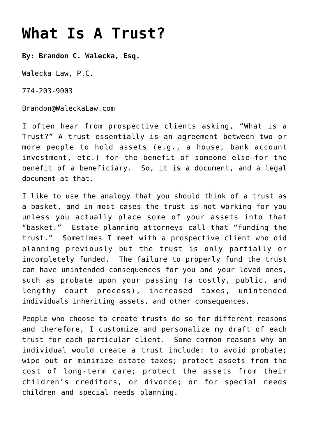## **[What Is A Trust?](https://www.waleckalaw.com/what-is-a-trust-2/)**

**By: Brandon C. Walecka, Esq.**

Walecka Law, P.C.

774-203-9003

Brandon@WaleckaLaw.com

I often hear from prospective clients asking, "What is a Trust?" A trust essentially is an agreement between two or more people to hold assets (e.g., a house, bank account investment, etc.) for the benefit of someone else—for the benefit of a beneficiary. So, it is a document, and a legal document at that.

I like to use the analogy that you should think of a trust as a basket, and in most cases the trust is not working for you unless you actually place some of your assets into that "basket." Estate planning attorneys call that "funding the trust." Sometimes I meet with a prospective client who did planning previously but the trust is only partially or incompletely funded. The failure to properly fund the trust can have unintended consequences for you and your loved ones, such as probate upon your passing (a costly, public, and lengthy court process), increased taxes, unintended individuals inheriting assets, and other consequences.

People who choose to create trusts do so for different reasons and therefore, I customize and personalize my draft of each trust for each particular client. Some common reasons why an individual would create a trust include: to avoid probate; wipe out or minimize estate taxes; protect assets from the cost of long-term care; protect the assets from their children's creditors, or divorce; or for special needs children and special needs planning.